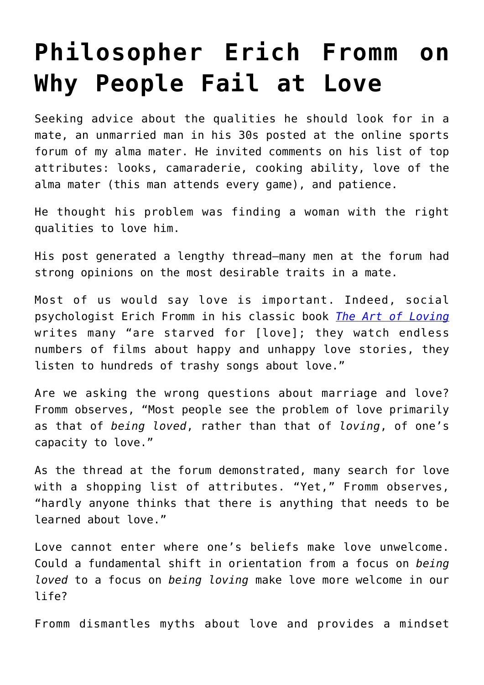# **[Philosopher Erich Fromm on](https://intellectualtakeout.org/2018/03/philosopher-erich-fromm-on-why-people-fail-at-love/) [Why People Fail at Love](https://intellectualtakeout.org/2018/03/philosopher-erich-fromm-on-why-people-fail-at-love/)**

Seeking advice about the qualities he should look for in a mate, an unmarried man in his 30s posted at the online sports forum of my alma mater. He invited comments on his list of top attributes: looks, camaraderie, cooking ability, love of the alma mater (this man attends every game), and patience.

He thought his problem was finding a woman with the right qualities to love him.

His post generated a lengthy thread—many men at the forum had strong opinions on the most desirable traits in a mate.

Most of us would say love is important. Indeed, social psychologist Erich Fromm in his classic book *[The Art of Loving](http://amzn.to/2GtxT7g)* writes many "are starved for [love]; they watch endless numbers of films about happy and unhappy love stories, they listen to hundreds of trashy songs about love."

Are we asking the wrong questions about marriage and love? Fromm observes, "Most people see the problem of love primarily as that of *being loved*, rather than that of *loving*, of one's capacity to love."

As the thread at the forum demonstrated, many search for love with a shopping list of attributes. "Yet," Fromm observes, "hardly anyone thinks that there is anything that needs to be learned about love."

Love cannot enter where one's beliefs make love unwelcome. Could a fundamental shift in orientation from a focus on *being loved* to a focus on *being loving* make love more welcome in our life?

Fromm dismantles myths about love and provides a mindset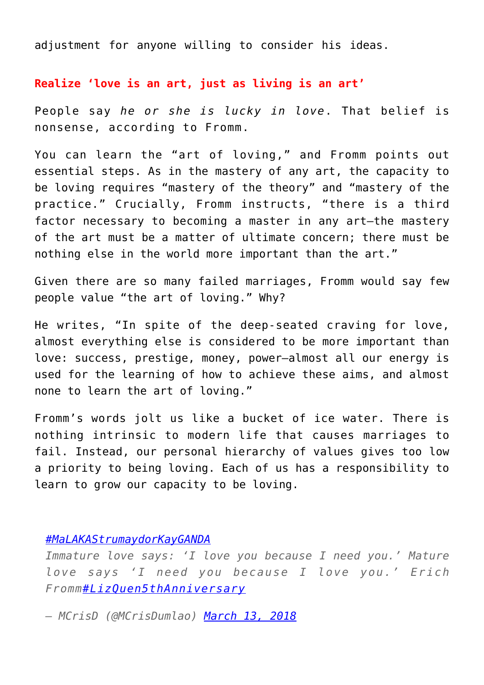adjustment for anyone willing to consider his ideas.

### **Realize 'love is an art, just as living is an art'**

People say *he or she is lucky in love*. That belief is nonsense, according to Fromm.

You can learn the "art of loving," and Fromm points out essential steps. As in the mastery of any art, the capacity to be loving requires "mastery of the theory" and "mastery of the practice." Crucially, Fromm instructs, "there is a third factor necessary to becoming a master in any art—the mastery of the art must be a matter of ultimate concern; there must be nothing else in the world more important than the art."

Given there are so many failed marriages, Fromm would say few people value "the art of loving." Why?

He writes, "In spite of the deep-seated craving for love, almost everything else is considered to be more important than love: success, prestige, money, power—almost all our energy is used for the learning of how to achieve these aims, and almost none to learn the art of loving."

Fromm's words jolt us like a bucket of ice water. There is nothing intrinsic to modern life that causes marriages to fail. Instead, our personal hierarchy of values gives too low a priority to being loving. Each of us has a responsibility to learn to grow our capacity to be loving.

## *[#MaLAKAStrumaydorKayGANDA](https://twitter.com/hashtag/MaLAKAStrumaydorKayGANDA?src=hash&ref_src=twsrc%5Etfw)*

*Immature love says: 'I love you because I need you.' Mature love says 'I need you because I love you.' Erich Fromm[#LizQuen5thAnniversary](https://twitter.com/hashtag/LizQuen5thAnniversary?src=hash&ref_src=twsrc%5Etfw)*

*— MCrisD (@MCrisDumlao) [March 13, 2018](https://twitter.com/MCrisDumlao/status/973499157028769793?ref_src=twsrc%5Etfw)*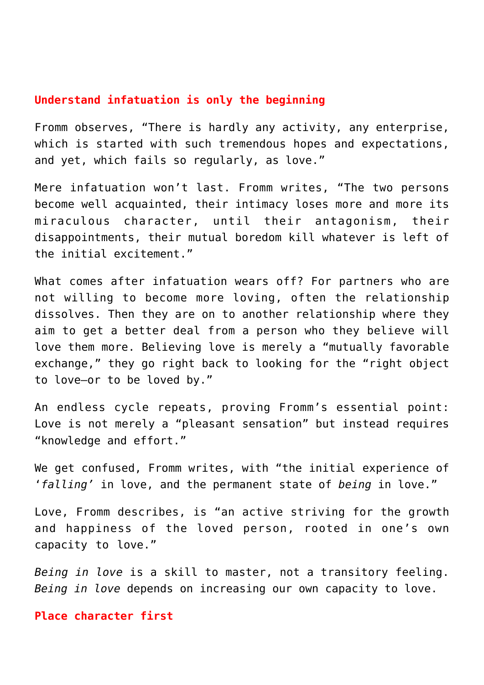# **Understand infatuation is only the beginning**

Fromm observes, "There is hardly any activity, any enterprise, which is started with such tremendous hopes and expectations, and yet, which fails so regularly, as love."

Mere infatuation won't last. Fromm writes, "The two persons become well acquainted, their intimacy loses more and more its miraculous character, until their antagonism, their disappointments, their mutual boredom kill whatever is left of the initial excitement."

What comes after infatuation wears off? For partners who are not willing to become more loving, often the relationship dissolves. Then they are on to another relationship where they aim to get a better deal from a person who they believe will love them more. Believing love is merely a "mutually favorable exchange," they go right back to looking for the "right object to love—or to be loved by."

An endless cycle repeats, proving Fromm's essential point: Love is not merely a "pleasant sensation" but instead requires "knowledge and effort."

We get confused, Fromm writes, with "the initial experience of '*falling'* in love, and the permanent state of *being* in love."

Love, Fromm describes, is "an active striving for the growth and happiness of the loved person, rooted in one's own capacity to love."

*Being in love* is a skill to master, not a transitory feeling. *Being in love* depends on increasing our own capacity to love.

### **Place character first**